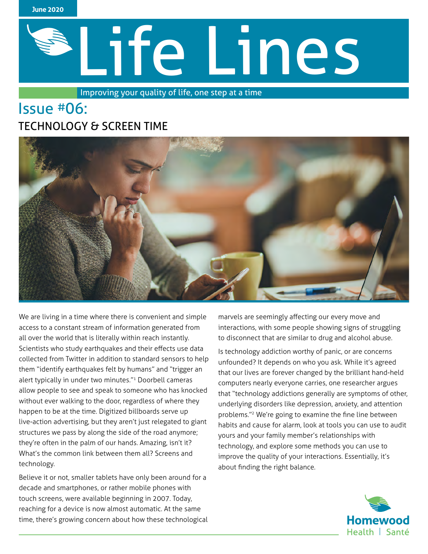

# Life Lines

Improving your quality of life, one step at a time

# Issue #06: TECHNOLOGY & SCREEN TIME



We are living in a time where there is convenient and simple access to a constant stream of information generated from all over the world that is literally within reach instantly. Scientists who study earthquakes and their effects use data collected from Twitter in addition to standard sensors to help them "identify earthquakes felt by humans" and "trigger an alert typically in under two minutes."<sup>1</sup> Doorbell cameras allow people to see and speak to someone who has knocked without ever walking to the door, regardless of where they happen to be at the time. Digitized billboards serve up live-action advertising, but they aren't just relegated to giant structures we pass by along the side of the road anymore; they're often in the palm of our hands. Amazing, isn't it? What's the common link between them all? Screens and technology.

Believe it or not, smaller tablets have only been around for a decade and smartphones, or rather mobile phones with touch screens, were available beginning in 2007. Today, reaching for a device is now almost automatic. At the same time, there's growing concern about how these technological marvels are seemingly affecting our every move and interactions, with some people showing signs of struggling to disconnect that are similar to drug and alcohol abuse.

Is technology addiction worthy of panic, or are concerns unfounded? It depends on who you ask. While it's agreed that our lives are forever changed by the brilliant hand-held computers nearly everyone carries, one researcher argues that "technology addictions generally are symptoms of other, underlying disorders like depression, anxiety, and attention problems."2 We're going to examine the fine line between habits and cause for alarm, look at tools you can use to audit yours and your family member's relationships with technology, and explore some methods you can use to improve the quality of your interactions. Essentially, it's about finding the right balance.

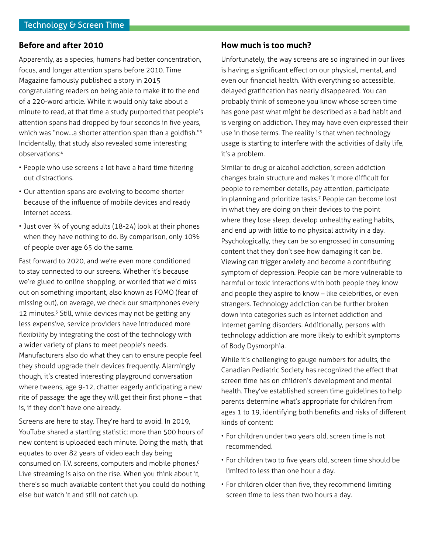### **Before and after 2010**

Apparently, as a species, humans had better concentration, focus, and longer attention spans before 2010. Time Magazine famously published a story in 2015 congratulating readers on being able to make it to the end of a 220-word article. While it would only take about a minute to read, at that time a study purported that people's attention spans had dropped by four seconds in five years, which was "now...a shorter attention span than a goldfish."<sup>3</sup> Incidentally, that study also revealed some interesting observations:<sup>4</sup>

- People who use screens a lot have a hard time filtering out distractions.
- Our attention spans are evolving to become shorter because of the influence of mobile devices and ready Internet access.
- Just over ¾ of young adults (18-24) look at their phones when they have nothing to do. By comparison, only 10% of people over age 65 do the same.

Fast forward to 2020, and we're even more conditioned to stay connected to our screens. Whether it's because we're glued to online shopping, or worried that we'd miss out on something important, also known as FOMO (fear of missing out), on average, we check our smartphones every 12 minutes.<sup>5</sup> Still, while devices may not be getting any less expensive, service providers have introduced more flexibility by integrating the cost of the technology with a wider variety of plans to meet people's needs. Manufacturers also do what they can to ensure people feel they should upgrade their devices frequently. Alarmingly though, it's created interesting playground conversation where tweens, age 9-12, chatter eagerly anticipating a new rite of passage: the age they will get their first phone – that is, if they don't have one already.

Screens are here to stay. They're hard to avoid. In 2019, YouTube shared a startling statistic: more than 500 hours of new content is uploaded each minute. Doing the math, that equates to over 82 years of video each day being consumed on T.V. screens, computers and mobile phones.<sup>6</sup> Live streaming is also on the rise. When you think about it, there's so much available content that you could do nothing else but watch it and still not catch up.

### **How much is too much?**

Unfortunately, the way screens are so ingrained in our lives is having a significant effect on our physical, mental, and even our financial health. With everything so accessible, delayed gratification has nearly disappeared. You can probably think of someone you know whose screen time has gone past what might be described as a bad habit and is verging on addiction. They may have even expressed their use in those terms. The reality is that when technology usage is starting to interfere with the activities of daily life, it's a problem.

Similar to drug or alcohol addiction, screen addiction changes brain structure and makes it more difficult for people to remember details, pay attention, participate in planning and prioritize tasks.<sup>7</sup> People can become lost in what they are doing on their devices to the point where they lose sleep, develop unhealthy eating habits, and end up with little to no physical activity in a day. Psychologically, they can be so engrossed in consuming content that they don't see how damaging it can be. Viewing can trigger anxiety and become a contributing symptom of depression. People can be more vulnerable to harmful or toxic interactions with both people they know and people they aspire to know – like celebrities, or even strangers. Technology addiction can be further broken down into categories such as Internet addiction and Internet gaming disorders. Additionally, persons with technology addiction are more likely to exhibit symptoms of Body Dysmorphia.

While it's challenging to gauge numbers for adults, the Canadian Pediatric Society has recognized the effect that screen time has on children's development and mental health. They've established screen time guidelines to help parents determine what's appropriate for children from ages 1 to 19, identifying both benefits and risks of different kinds of content:

- For children under two years old, screen time is not recommended.
- For children two to five years old, screen time should be limited to less than one hour a day.
- For children older than five, they recommend limiting screen time to less than two hours a day.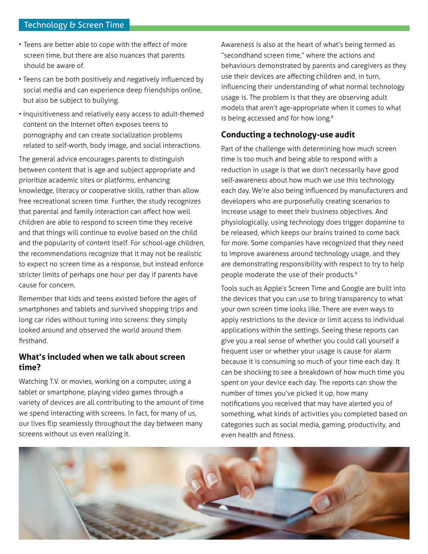### Technology & Screen Time

- Teens are better able to cope with the effect of more screen time, but there are also nuances that parents should be aware of.
- Teens can be both positively and negatively influenced by social media and can experience deep friendships online, but also be subject to bullying.
- Inquisitiveness and relatively easy access to adult-themed content on the Internet often exposes teens to pornography and can create socialization problems related to self-worth, body image, and social interactions.

The general advice encourages parents to distinguish between content that is age and subject appropriate and prioritize academic sites or platforms, enhancing knowledge, literacy or cooperative skills, rather than allow free recreational screen time. Further, the study recognizes that parental and family interaction can affect how well children are able to respond to screen time they receive and that things will continue to evolve based on the child and the popularity of content itself. For school-age children, the recommendations recognize that it may not be realistic to expect no screen time as a response, but instead enforce stricter limits of perhaps one hour per day if parents have cause for concern.

Remember that kids and teens existed before the ages of smartphones and tablets and survived shopping trips and long car rides without tuning into screens: they simply looked around and observed the world around them firsthand.

### **What's included when we talk about screen time?**

Watching T.V. or movies, working on a computer, using a tablet or smartphone, playing video games through a variety of devices are all contributing to the amount of time we spend interacting with screens. In fact, for many of us, our lives flip seamlessly throughout the day between many screens without us even realizing it.

Awareness is also at the heart of what's being termed as "secondhand screen time," where the actions and behaviours demonstrated by parents and caregivers as they use their devices are affecting children and, in turn, influencing their understanding of what normal technology usage is. The problem is that they are observing adult models that aren't age-appropriate when it comes to what is being accessed and for how long.<sup>8</sup>

### **Conducting a technology-use audit**

Part of the challenge with determining how much screen time is too much and being able to respond with a reduction in usage is that we don't necessarily have good self-awareness about how much we use this technology each day. We're also being influenced by manufacturers and developers who are purposefully creating scenarios to increase usage to meet their business objectives. And physiologically, using technology does trigger dopamine to be released, which keeps our brains trained to come back for more. Some companies have recognized that they need to improve awareness around technology usage, and they are demonstrating responsibility with respect to try to help people moderate the use of their products.<sup>9</sup>

Tools such as Apple's Screen Time and Google are built into the devices that you can use to bring transparency to what your own screen time looks like. There are even ways to apply restrictions to the device or limit access to individual applications within the settings. Seeing these reports can give you a real sense of whether you could call yourself a frequent user or whether your usage is cause for alarm because it is consuming so much of your time each day. It can be shocking to see a breakdown of how much time you spent on your device each day. The reports can show the number of times you've picked it up, how many notifications you received that may have alerted you of something, what kinds of activities you completed based on categories such as social media, gaming, productivity, and even health and fitness.

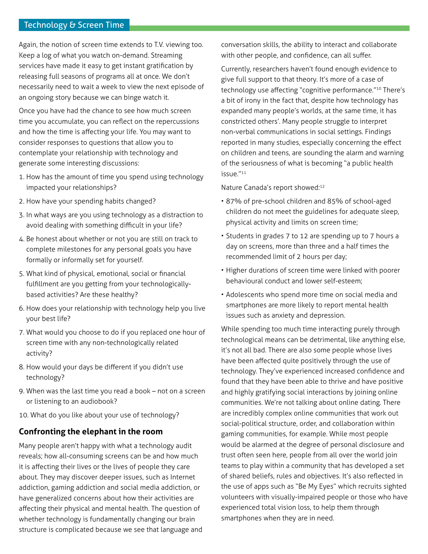### Technology & Screen Time

Again, the notion of screen time extends to T.V. viewing too. Keep a log of what you watch on-demand. Streaming services have made it easy to get instant gratification by releasing full seasons of programs all at once. We don't necessarily need to wait a week to view the next episode of an ongoing story because we can binge watch it.

Once you have had the chance to see how much screen time you accumulate, you can reflect on the repercussions and how the time is affecting your life. You may want to consider responses to questions that allow you to contemplate your relationship with technology and generate some interesting discussions:

- 1. How has the amount of time you spend using technology impacted your relationships?
- 2. How have your spending habits changed?
- 3. In what ways are you using technology as a distraction to avoid dealing with something difficult in your life?
- 4. Be honest about whether or not you are still on track to complete milestones for any personal goals you have formally or informally set for yourself.
- 5. What kind of physical, emotional, social or financial fulfillment are you getting from your technologicallybased activities? Are these healthy?
- 6. How does your relationship with technology help you live your best life?
- 7. What would you choose to do if you replaced one hour of screen time with any non-technologically related activity?
- 8. How would your days be different if you didn't use technology?
- 9. When was the last time you read a book not on a screen or listening to an audiobook?
- 10. What do you like about your use of technology?

### **Confronting the elephant in the room**

Many people aren't happy with what a technology audit reveals; how all-consuming screens can be and how much it is affecting their lives or the lives of people they care about. They may discover deeper issues, such as Internet addiction, gaming addiction and social media addiction, or have generalized concerns about how their activities are affecting their physical and mental health. The question of whether technology is fundamentally changing our brain structure is complicated because we see that language and conversation skills, the ability to interact and collaborate with other people, and confidence, can all suffer.

Currently, researchers haven't found enough evidence to give full support to that theory. It's more of a case of technology use affecting "cognitive performance."10 There's a bit of irony in the fact that, despite how technology has expanded many people's worlds, at the same time, it has constricted others'. Many people struggle to interpret non-verbal communications in social settings. Findings reported in many studies, especially concerning the effect on children and teens, are sounding the alarm and warning of the seriousness of what is becoming "a public health issue."<sup>11</sup>

Nature Canada's report showed:12

- 87% of pre-school children and 85% of school-aged children do not meet the guidelines for adequate sleep, physical activity and limits on screen time;
- Students in grades 7 to 12 are spending up to 7 hours a day on screens, more than three and a half times the recommended limit of 2 hours per day;
- Higher durations of screen time were linked with poorer behavioural conduct and lower self-esteem;
- Adolescents who spend more time on social media and smartphones are more likely to report mental health issues such as anxiety and depression.

While spending too much time interacting purely through technological means can be detrimental, like anything else, it's not all bad. There are also some people whose lives have been affected quite positively through the use of technology. They've experienced increased confidence and found that they have been able to thrive and have positive and highly gratifying social interactions by joining online communities. We're not talking about online dating. There are incredibly complex online communities that work out social-political structure, order, and collaboration within gaming communities, for example. While most people would be alarmed at the degree of personal disclosure and trust often seen here, people from all over the world join teams to play within a community that has developed a set of shared beliefs, rules and objectives. It's also reflected in the use of apps such as "Be My Eyes" which recruits sighted volunteers with visually-impaired people or those who have experienced total vision loss, to help them through smartphones when they are in need.